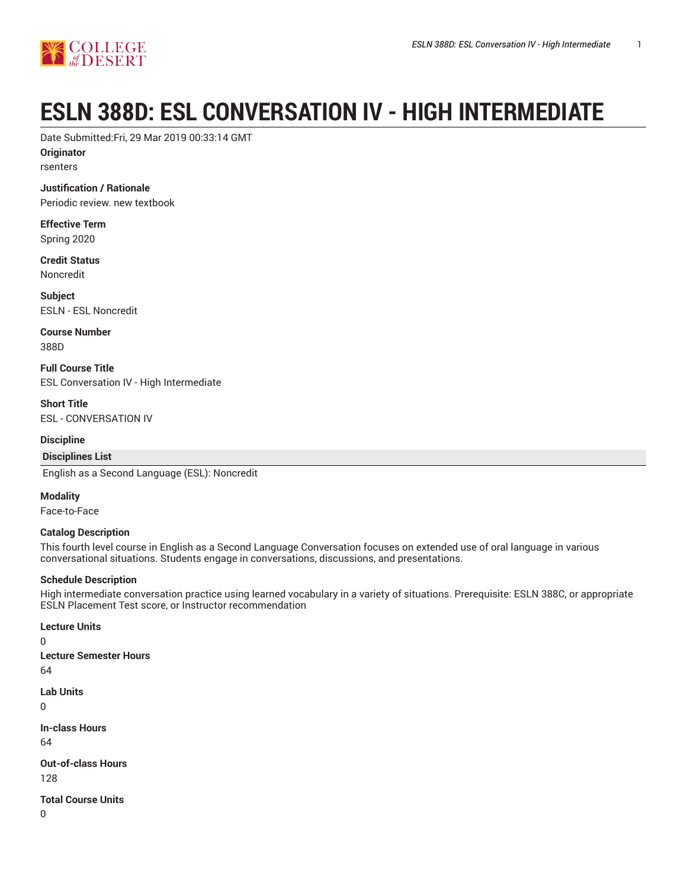

# **ESLN 388D: ESL CONVERSATION IV - HIGH INTERMEDIATE**

Date Submitted:Fri, 29 Mar 2019 00:33:14 GMT

**Originator**

rsenters

**Justification / Rationale** Periodic review. new textbook

**Effective Term**

Spring 2020

**Credit Status** Noncredit

**Subject** ESLN - ESL Noncredit

**Course Number** 388D

**Full Course Title** ESL Conversation IV - High Intermediate

**Short Title** ESL - CONVERSATION IV

**Discipline**

**Disciplines List**

English as a Second Language (ESL): Noncredit

**Modality**

Face-to-Face

#### **Catalog Description**

This fourth level course in English as a Second Language Conversation focuses on extended use of oral language in various conversational situations. Students engage in conversations, discussions, and presentations.

#### **Schedule Description**

High intermediate conversation practice using learned vocabulary in a variety of situations. Prerequisite: ESLN 388C, or appropriate ESLN Placement Test score, or Instructor recommendation

**Lecture Units**  $\Omega$ **Lecture Semester Hours** 64 **Lab Units** 0 **In-class Hours** 64 **Out-of-class Hours** 128 **Total Course Units**  $\Omega$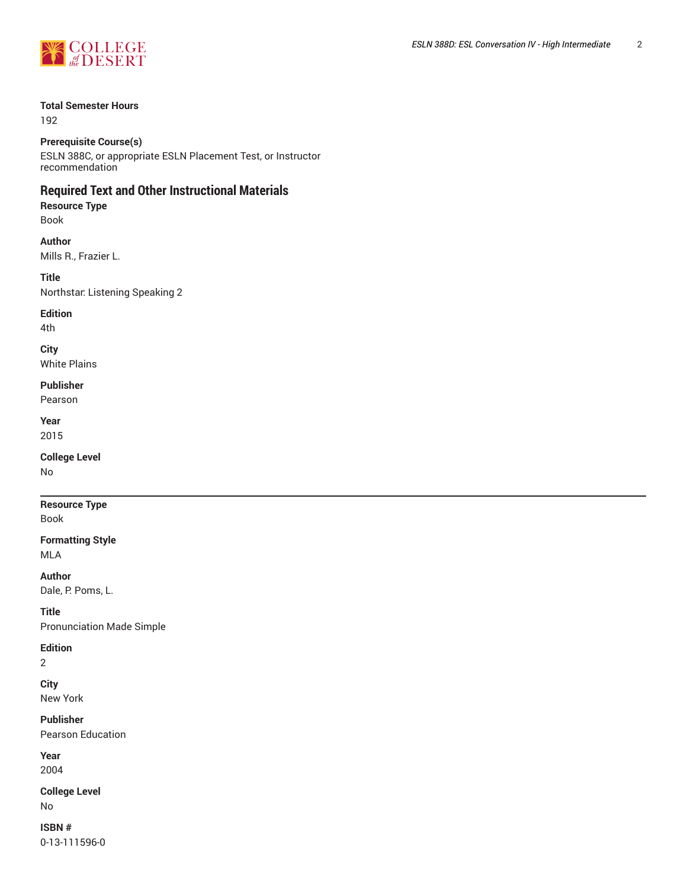

#### **Total Semester Hours**

192

#### **Prerequisite Course(s)**

ESLN 388C, or appropriate ESLN Placement Test, or Instructor recommendation

# **Required Text and Other Instructional Materials**

### **Resource Type** Book

**Author** Mills R., Frazier L.

**Title** Northstar: Listening Speaking 2

**Edition**

4th

**City** White Plains

# **Publisher**

Pearson

**Year** 2015

**College Level**

No

# **Resource Type**

Book

#### **Formatting Style** MLA

**Author**

Dale, P. Poms, L.

# **Title**

Pronunciation Made Simple

## **Edition**

2

# **City**

New York

### **Publisher**

Pearson Education

#### **Year** 2004

**College Level** No

# **ISBN #**

0-13-111596-0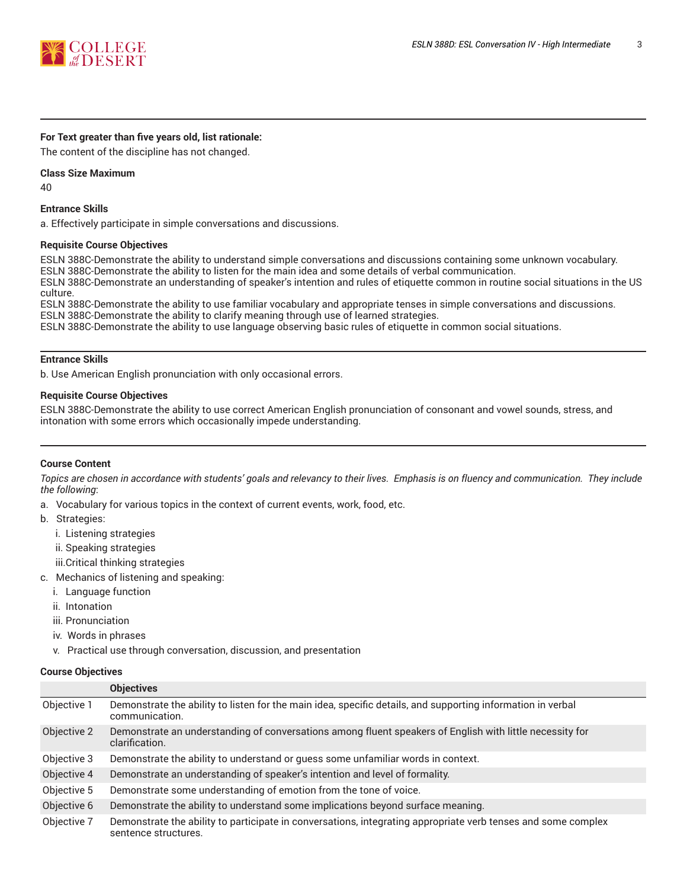

#### **For Text greater than five years old, list rationale:**

The content of the discipline has not changed.

#### **Class Size Maximum**

40

#### **Entrance Skills**

a. Effectively participate in simple conversations and discussions.

#### **Requisite Course Objectives**

ESLN 388C-Demonstrate the ability to understand simple conversations and discussions containing some unknown vocabulary. ESLN 388C-Demonstrate the ability to listen for the main idea and some details of verbal communication.

ESLN 388C-Demonstrate an understanding of speaker's intention and rules of etiquette common in routine social situations in the US culture.

ESLN 388C-Demonstrate the ability to use familiar vocabulary and appropriate tenses in simple conversations and discussions. ESLN 388C-Demonstrate the ability to clarify meaning through use of learned strategies.

ESLN 388C-Demonstrate the ability to use language observing basic rules of etiquette in common social situations.

#### **Entrance Skills**

b. Use American English pronunciation with only occasional errors.

#### **Requisite Course Objectives**

ESLN 388C-Demonstrate the ability to use correct American English pronunciation of consonant and vowel sounds, stress, and intonation with some errors which occasionally impede understanding.

#### **Course Content**

Topics are chosen in accordance with students' goals and relevancy to their lives. Emphasis is on fluency and communication. They include *the following*:

- a. Vocabulary for various topics in the context of current events, work, food, etc.
- b. Strategies:
	- i. Listening strategies
	- ii. Speaking strategies
	- iii.Critical thinking strategies
- c. Mechanics of listening and speaking:
	- i. Language function
	- ii. Intonation
	- iii. Pronunciation
	- iv. Words in phrases
	- v. Practical use through conversation, discussion, and presentation

#### **Course Objectives**

|             | <b>Objectives</b>                                                                                                                     |
|-------------|---------------------------------------------------------------------------------------------------------------------------------------|
| Objective 1 | Demonstrate the ability to listen for the main idea, specific details, and supporting information in verbal<br>communication.         |
| Objective 2 | Demonstrate an understanding of conversations among fluent speakers of English with little necessity for<br>clarification.            |
| Objective 3 | Demonstrate the ability to understand or guess some unfamiliar words in context.                                                      |
| Objective 4 | Demonstrate an understanding of speaker's intention and level of formality.                                                           |
| Objective 5 | Demonstrate some understanding of emotion from the tone of voice.                                                                     |
| Objective 6 | Demonstrate the ability to understand some implications beyond surface meaning.                                                       |
| Objective 7 | Demonstrate the ability to participate in conversations, integrating appropriate verb tenses and some complex<br>sentence structures. |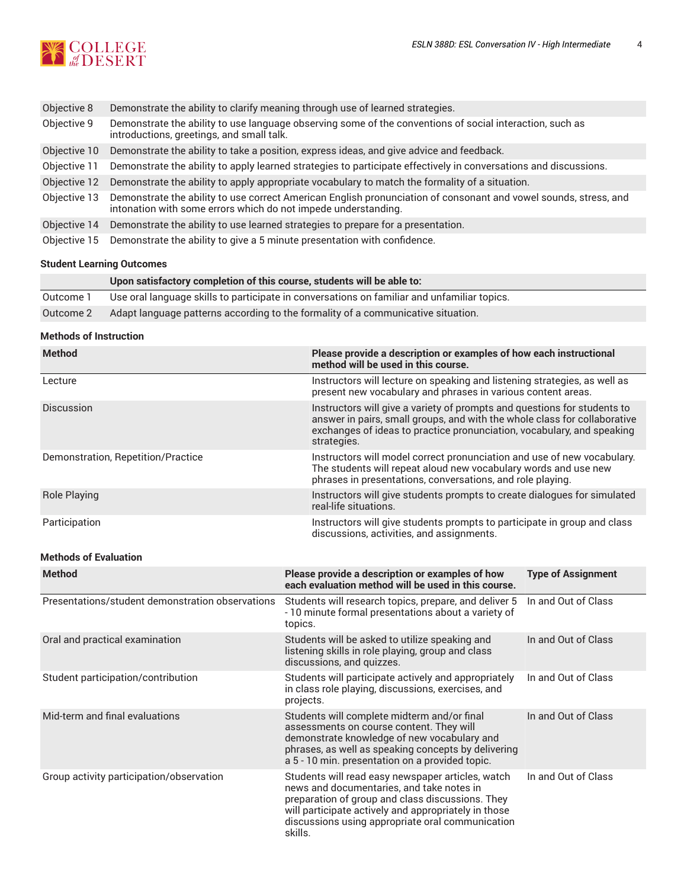

| Objective 8  | Demonstrate the ability to clarify meaning through use of learned strategies.                                                                                                      |
|--------------|------------------------------------------------------------------------------------------------------------------------------------------------------------------------------------|
| Objective 9  | Demonstrate the ability to use language observing some of the conventions of social interaction, such as<br>introductions, greetings, and small talk.                              |
| Objective 10 | Demonstrate the ability to take a position, express ideas, and give advice and feedback.                                                                                           |
| Objective 11 | Demonstrate the ability to apply learned strategies to participate effectively in conversations and discussions.                                                                   |
| Objective 12 | Demonstrate the ability to apply appropriate vocabulary to match the formality of a situation.                                                                                     |
| Objective 13 | Demonstrate the ability to use correct American English pronunciation of consonant and vowel sounds, stress, and<br>intonation with some errors which do not impede understanding. |
| Objective 14 | Demonstrate the ability to use learned strategies to prepare for a presentation.                                                                                                   |
| Objective 15 | Demonstrate the ability to give a 5 minute presentation with confidence.                                                                                                           |

## **Student Learning Outcomes**

|           | Upon satisfactory completion of this course, students will be able to:                      |  |  |
|-----------|---------------------------------------------------------------------------------------------|--|--|
| Outcome 1 | Use oral language skills to participate in conversations on familiar and unfamiliar topics. |  |  |
| Outcome 2 | Adapt language patterns according to the formality of a communicative situation.            |  |  |

#### **Methods of Instruction**

| <b>Method</b>                                    | Please provide a description or examples of how each instructional<br>method will be used in this course.                                                                                                                                                                 |                           |  |
|--------------------------------------------------|---------------------------------------------------------------------------------------------------------------------------------------------------------------------------------------------------------------------------------------------------------------------------|---------------------------|--|
| Lecture                                          | Instructors will lecture on speaking and listening strategies, as well as<br>present new vocabulary and phrases in various content areas.                                                                                                                                 |                           |  |
| Discussion                                       | Instructors will give a variety of prompts and questions for students to<br>answer in pairs, small groups, and with the whole class for collaborative<br>exchanges of ideas to practice pronunciation, vocabulary, and speaking<br>strategies.                            |                           |  |
| Demonstration, Repetition/Practice               | Instructors will model correct pronunciation and use of new vocabulary.<br>The students will repeat aloud new vocabulary words and use new<br>phrases in presentations, conversations, and role playing.                                                                  |                           |  |
| <b>Role Playing</b>                              | Instructors will give students prompts to create dialogues for simulated<br>real-life situations.                                                                                                                                                                         |                           |  |
| Participation                                    | Instructors will give students prompts to participate in group and class<br>discussions, activities, and assignments.                                                                                                                                                     |                           |  |
| <b>Methods of Evaluation</b>                     |                                                                                                                                                                                                                                                                           |                           |  |
| <b>Method</b>                                    | Please provide a description or examples of how<br>each evaluation method will be used in this course.                                                                                                                                                                    | <b>Type of Assignment</b> |  |
| Presentations/student demonstration observations | Students will research topics, prepare, and deliver 5<br>- 10 minute formal presentations about a variety of<br>topics.                                                                                                                                                   | In and Out of Class       |  |
| Oral and practical examination                   | Students will be asked to utilize speaking and<br>listening skills in role playing, group and class<br>discussions, and quizzes.                                                                                                                                          | In and Out of Class       |  |
| Student participation/contribution               | Students will participate actively and appropriately<br>in class role playing, discussions, exercises, and<br>projects.                                                                                                                                                   | In and Out of Class       |  |
| Mid-term and final evaluations                   | Students will complete midterm and/or final<br>assessments on course content. They will<br>demonstrate knowledge of new vocabulary and<br>phrases, as well as speaking concepts by delivering<br>a 5 - 10 min. presentation on a provided topic.                          | In and Out of Class       |  |
| Group activity participation/observation         | Students will read easy newspaper articles, watch<br>news and documentaries, and take notes in<br>preparation of group and class discussions. They<br>will participate actively and appropriately in those<br>discussions using appropriate oral communication<br>skills. | In and Out of Class       |  |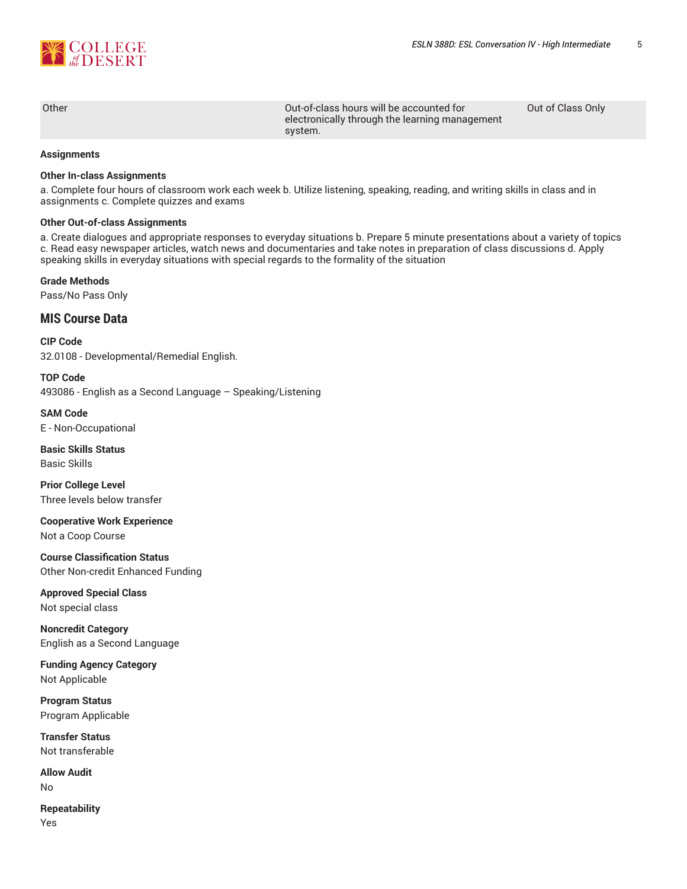

Other Out-of-class hours will be accounted for electronically through the learning management system.

Out of Class Only

#### **Assignments**

#### **Other In-class Assignments**

a. Complete four hours of classroom work each week b. Utilize listening, speaking, reading, and writing skills in class and in assignments c. Complete quizzes and exams

#### **Other Out-of-class Assignments**

a. Create dialogues and appropriate responses to everyday situations b. Prepare 5 minute presentations about a variety of topics c. Read easy newspaper articles, watch news and documentaries and take notes in preparation of class discussions d. Apply speaking skills in everyday situations with special regards to the formality of the situation

#### **Grade Methods**

Pass/No Pass Only

## **MIS Course Data**

**CIP Code** 32.0108 - Developmental/Remedial English.

**TOP Code** 493086 - English as a Second Language – Speaking/Listening

**SAM Code** E - Non-Occupational

**Basic Skills Status** Basic Skills

**Prior College Level** Three levels below transfer

**Cooperative Work Experience**

Not a Coop Course

**Course Classification Status** Other Non-credit Enhanced Funding

**Approved Special Class** Not special class

**Noncredit Category** English as a Second Language

**Funding Agency Category** Not Applicable

**Program Status** Program Applicable

**Transfer Status** Not transferable

**Allow Audit** No

**Repeatability** Yes